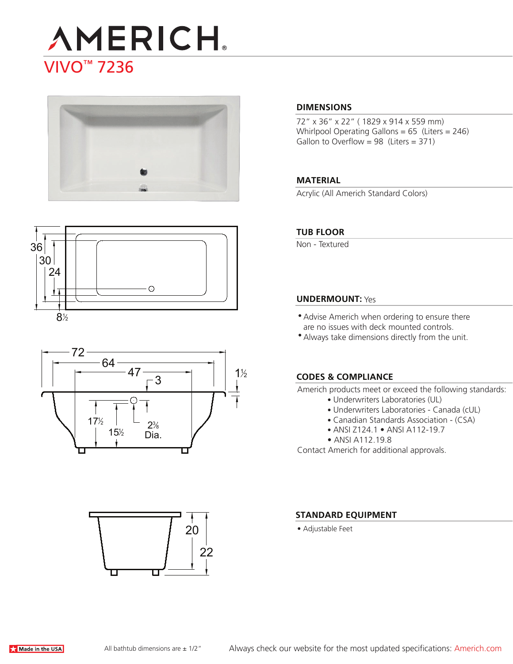







# 22 20

#### **DIMENSIONS**

72" x 36" x 22" ( 1829 x 914 x 559 mm) Whirlpool Operating Gallons = 65 (Liters = 246) Gallon to Overflow =  $98$  (Liters =  $371$ )

#### **MATERIAL**

Acrylic (All Americh Standard Colors)

#### **TUB FLOOR**

Non - Textured

#### **UNDERMOUNT:** Yes

- Advise Americh when ordering to ensure there are no issues with deck mounted controls.
- Always take dimensions directly from the unit.

#### **CODES & COMPLIANCE**

Americh products meet or exceed the following standards:

- Underwriters Laboratories (UL)
- Underwriters Laboratories Canada (cUL)
- Canadian Standards Association (CSA)
- ANSI Z124.1 ANSI A112-19.7
- ANSI A112.19.8

Contact Americh for additional approvals.

#### **STANDARD EQUIPMENT**

• Adjustable Feet